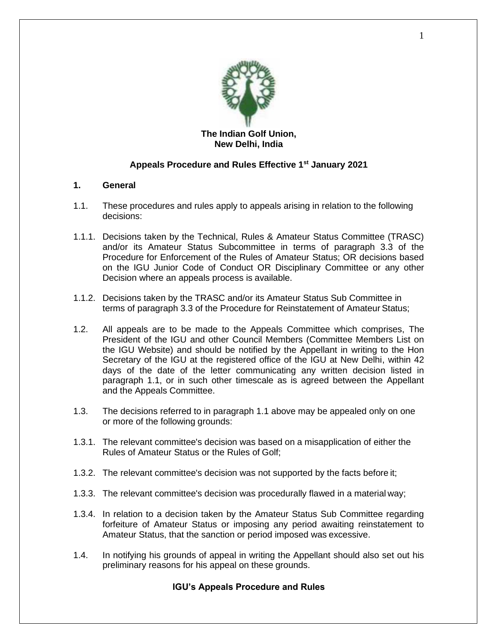

# **New Delhi, India**

## **Appeals Procedure and Rules Effective 1st January 2021**

## **1. General**

- 1.1. These procedures and rules apply to appeals arising in relation to the following decisions:
- 1.1.1. Decisions taken by the Technical, Rules & Amateur Status Committee (TRASC) and/or its Amateur Status Subcommittee in terms of paragraph 3.3 of the Procedure for Enforcement of the Rules of Amateur Status; OR decisions based on the IGU Junior Code of Conduct OR Disciplinary Committee or any other Decision where an appeals process is available.
- 1.1.2. Decisions taken by the TRASC and/or its Amateur Status Sub Committee in terms of paragraph 3.3 of the Procedure for Reinstatement of Amateur Status;
- 1.2. All appeals are to be made to the Appeals Committee which comprises, The President of the IGU and other Council Members (Committee Members List on the IGU Website) and should be notified by the Appellant in writing to the Hon Secretary of the IGU at the registered office of the IGU at New Delhi, within 42 days of the date of the letter communicating any written decision listed in paragraph 1.1, or in such other timescale as is agreed between the Appellant and the Appeals Committee.
- 1.3. The decisions referred to in paragraph 1.1 above may be appealed only on one or more of the following grounds:
- 1.3.1. The relevant committee's decision was based on a misapplication of either the Rules of Amateur Status or the Rules of Golf;
- 1.3.2. The relevant committee's decision was not supported by the facts before it;
- 1.3.3. The relevant committee's decision was procedurally flawed in a material way;
- 1.3.4. In relation to a decision taken by the Amateur Status Sub Committee regarding forfeiture of Amateur Status or imposing any period awaiting reinstatement to Amateur Status, that the sanction or period imposed was excessive.
- 1.4. In notifying his grounds of appeal in writing the Appellant should also set out his preliminary reasons for his appeal on these grounds.

## **IGU's Appeals Procedure and Rules**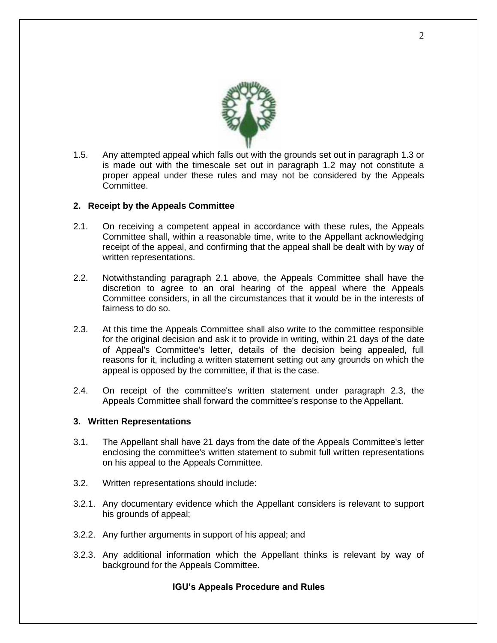

1.5. Any attempted appeal which falls out with the grounds set out in paragraph 1.3 or is made out with the timescale set out in paragraph 1.2 may not constitute a proper appeal under these rules and may not be considered by the Appeals Committee.

#### **2. Receipt by the Appeals Committee**

- 2.1. On receiving a competent appeal in accordance with these rules, the Appeals Committee shall, within a reasonable time, write to the Appellant acknowledging receipt of the appeal, and confirming that the appeal shall be dealt with by way of written representations.
- 2.2. Notwithstanding paragraph 2.1 above, the Appeals Committee shall have the discretion to agree to an oral hearing of the appeal where the Appeals Committee considers, in all the circumstances that it would be in the interests of fairness to do so.
- 2.3. At this time the Appeals Committee shall also write to the committee responsible for the original decision and ask it to provide in writing, within 21 days of the date of Appeal's Committee's letter, details of the decision being appealed, full reasons for it, including a written statement setting out any grounds on which the appeal is opposed by the committee, if that is the case.
- 2.4. On receipt of the committee's written statement under paragraph 2.3, the Appeals Committee shall forward the committee's response to the Appellant.

#### **3. Written Representations**

- 3.1. The Appellant shall have 21 days from the date of the Appeals Committee's letter enclosing the committee's written statement to submit full written representations on his appeal to the Appeals Committee.
- 3.2. Written representations should include:
- 3.2.1. Any documentary evidence which the Appellant considers is relevant to support his grounds of appeal;
- 3.2.2. Any further arguments in support of his appeal; and
- 3.2.3. Any additional information which the Appellant thinks is relevant by way of background for the Appeals Committee.

## **IGU's Appeals Procedure and Rules**